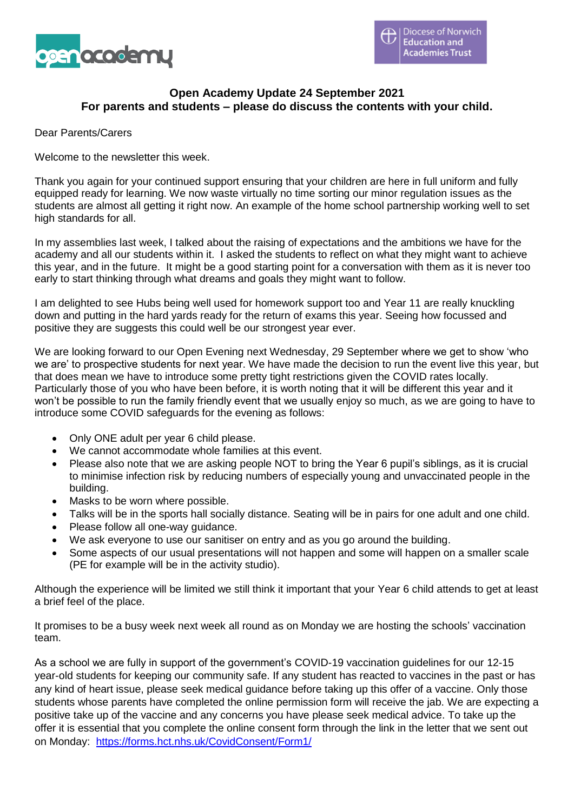

## **Open Academy Update 24 September 2021 For parents and students – please do discuss the contents with your child.**

Dear Parents/Carers

Welcome to the newsletter this week.

Thank you again for your continued support ensuring that your children are here in full uniform and fully equipped ready for learning. We now waste virtually no time sorting our minor regulation issues as the students are almost all getting it right now. An example of the home school partnership working well to set high standards for all.

In my assemblies last week, I talked about the raising of expectations and the ambitions we have for the academy and all our students within it. I asked the students to reflect on what they might want to achieve this year, and in the future. It might be a good starting point for a conversation with them as it is never too early to start thinking through what dreams and goals they might want to follow.

I am delighted to see Hubs being well used for homework support too and Year 11 are really knuckling down and putting in the hard yards ready for the return of exams this year. Seeing how focussed and positive they are suggests this could well be our strongest year ever.

We are looking forward to our Open Evening next Wednesday, 29 September where we get to show 'who we are' to prospective students for next year. We have made the decision to run the event live this year, but that does mean we have to introduce some pretty tight restrictions given the COVID rates locally. Particularly those of you who have been before, it is worth noting that it will be different this year and it won't be possible to run the family friendly event that we usually enjoy so much, as we are going to have to introduce some COVID safeguards for the evening as follows:

- Only ONE adult per year 6 child please.
- We cannot accommodate whole families at this event.
- Please also note that we are asking people NOT to bring the Year 6 pupil's siblings, as it is crucial to minimise infection risk by reducing numbers of especially young and unvaccinated people in the building.
- Masks to be worn where possible.
- Talks will be in the sports hall socially distance. Seating will be in pairs for one adult and one child.
- Please follow all one-way guidance.
- We ask everyone to use our sanitiser on entry and as you go around the building.
- Some aspects of our usual presentations will not happen and some will happen on a smaller scale (PE for example will be in the activity studio).

Although the experience will be limited we still think it important that your Year 6 child attends to get at least a brief feel of the place.

It promises to be a busy week next week all round as on Monday we are hosting the schools' vaccination team.

As a school we are fully in support of the government's COVID-19 vaccination guidelines for our 12-15 year-old students for keeping our community safe. If any student has reacted to vaccines in the past or has any kind of heart issue, please seek medical guidance before taking up this offer of a vaccine. Only those students whose parents have completed the online permission form will receive the jab. We are expecting a positive take up of the vaccine and any concerns you have please seek medical advice. To take up the offer it is essential that you complete the online consent form through the link in the letter that we sent out on Monday: <https://forms.hct.nhs.uk/CovidConsent/Form1/>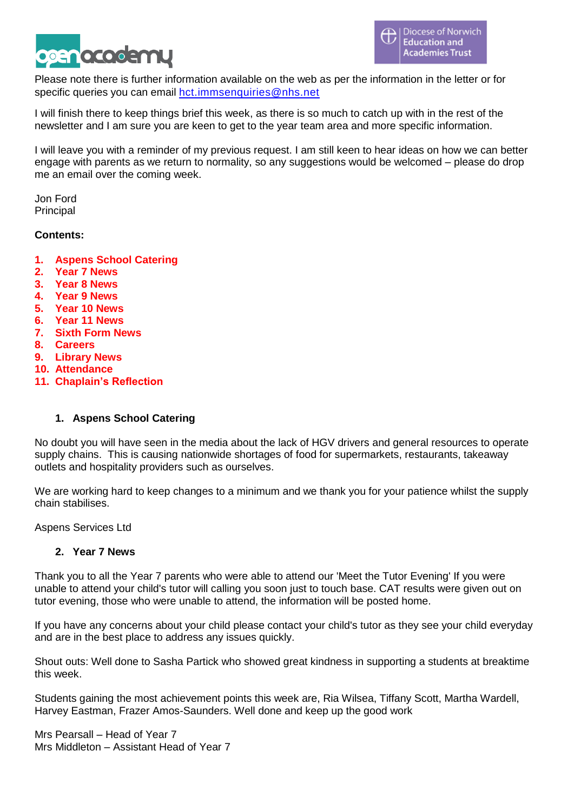

Please note there is further information available on the web as per the information in the letter or for specific queries you can email [hct.immsenquiries@nhs.net](mailto:hct.immsenquiries@nhs.net)

I will finish there to keep things brief this week, as there is so much to catch up with in the rest of the newsletter and I am sure you are keen to get to the year team area and more specific information.

I will leave you with a reminder of my previous request. I am still keen to hear ideas on how we can better engage with parents as we return to normality, so any suggestions would be welcomed – please do drop me an email over the coming week.

Jon Ford **Principal** 

#### **Contents:**

- **1. Aspens School Catering**
- **2. Year 7 News**
- **3. Year 8 News**
- **4. Year 9 News**
- **5. Year 10 News**
- **6. Year 11 News**
- **7. Sixth Form News**
- **8. Careers**
- **9. Library News**
- **10. Attendance**
- **11. Chaplain's Reflection**

#### **1. Aspens School Catering**

No doubt you will have seen in the media about the lack of HGV drivers and general resources to operate supply chains. This is causing nationwide shortages of food for supermarkets, restaurants, takeaway outlets and hospitality providers such as ourselves.

We are working hard to keep changes to a minimum and we thank you for your patience whilst the supply chain stabilises.

Aspens Services Ltd

#### **2. Year 7 News**

Thank you to all the Year 7 parents who were able to attend our 'Meet the Tutor Evening' If you were unable to attend your child's tutor will calling you soon just to touch base. CAT results were given out on tutor evening, those who were unable to attend, the information will be posted home.

If you have any concerns about your child please contact your child's tutor as they see your child everyday and are in the best place to address any issues quickly.

Shout outs: Well done to Sasha Partick who showed great kindness in supporting a students at breaktime this week.

Students gaining the most achievement points this week are, Ria Wilsea, Tiffany Scott, Martha Wardell, Harvey Eastman, Frazer Amos-Saunders. Well done and keep up the good work

Mrs Pearsall – Head of Year 7 Mrs Middleton – Assistant Head of Year 7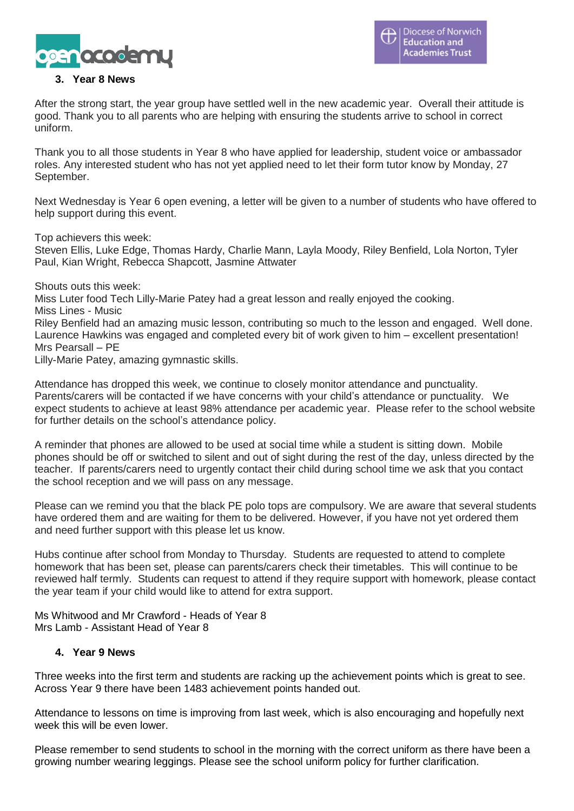

### **3. Year 8 News**

After the strong start, the year group have settled well in the new academic year. Overall their attitude is good. Thank you to all parents who are helping with ensuring the students arrive to school in correct uniform.

Thank you to all those students in Year 8 who have applied for leadership, student voice or ambassador roles. Any interested student who has not yet applied need to let their form tutor know by Monday, 27 September.

Next Wednesday is Year 6 open evening, a letter will be given to a number of students who have offered to help support during this event.

Top achievers this week:

Steven Ellis, Luke Edge, Thomas Hardy, Charlie Mann, Layla Moody, Riley Benfield, Lola Norton, Tyler Paul, Kian Wright, Rebecca Shapcott, Jasmine Attwater

Shouts outs this week:

Miss Luter food Tech Lilly-Marie Patey had a great lesson and really enjoyed the cooking. Miss Lines - Music Riley Benfield had an amazing music lesson, contributing so much to the lesson and engaged. Well done. Laurence Hawkins was engaged and completed every bit of work given to him – excellent presentation! Mrs Pearsall – PE

Lilly-Marie Patey, amazing gymnastic skills.

Attendance has dropped this week, we continue to closely monitor attendance and punctuality. Parents/carers will be contacted if we have concerns with your child's attendance or punctuality. We expect students to achieve at least 98% attendance per academic year. Please refer to the school website for further details on the school's attendance policy.

A reminder that phones are allowed to be used at social time while a student is sitting down. Mobile phones should be off or switched to silent and out of sight during the rest of the day, unless directed by the teacher. If parents/carers need to urgently contact their child during school time we ask that you contact the school reception and we will pass on any message.

Please can we remind you that the black PE polo tops are compulsory. We are aware that several students have ordered them and are waiting for them to be delivered. However, if you have not yet ordered them and need further support with this please let us know.

Hubs continue after school from Monday to Thursday. Students are requested to attend to complete homework that has been set, please can parents/carers check their timetables. This will continue to be reviewed half termly. Students can request to attend if they require support with homework, please contact the year team if your child would like to attend for extra support.

Ms Whitwood and Mr Crawford - Heads of Year 8 Mrs Lamb - Assistant Head of Year 8

#### **4. Year 9 News**

Three weeks into the first term and students are racking up the achievement points which is great to see. Across Year 9 there have been 1483 achievement points handed out.

Attendance to lessons on time is improving from last week, which is also encouraging and hopefully next week this will be even lower

Please remember to send students to school in the morning with the correct uniform as there have been a growing number wearing leggings. Please see the school uniform policy for further clarification.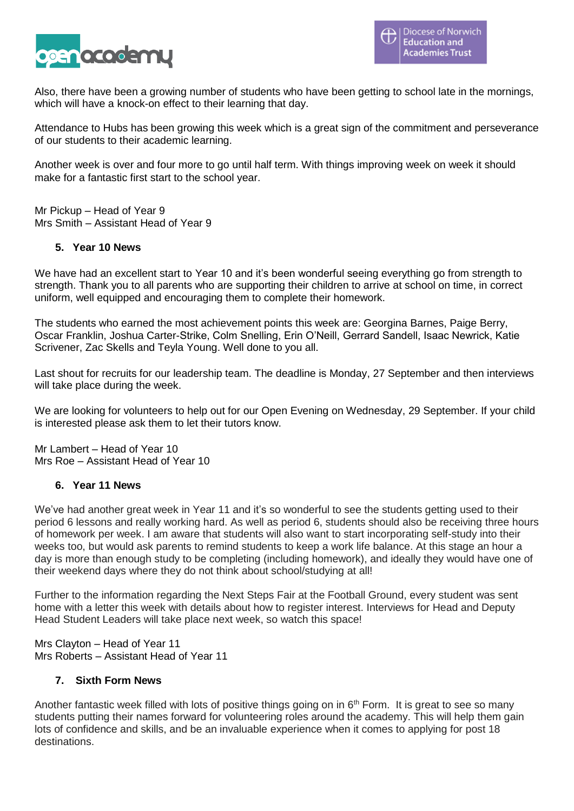

Also, there have been a growing number of students who have been getting to school late in the mornings, which will have a knock-on effect to their learning that day.

Attendance to Hubs has been growing this week which is a great sign of the commitment and perseverance of our students to their academic learning.

Another week is over and four more to go until half term. With things improving week on week it should make for a fantastic first start to the school year.

Mr Pickup – Head of Year 9 Mrs Smith – Assistant Head of Year 9

### **5. Year 10 News**

We have had an excellent start to Year 10 and it's been wonderful seeing everything go from strength to strength. Thank you to all parents who are supporting their children to arrive at school on time, in correct uniform, well equipped and encouraging them to complete their homework.

The students who earned the most achievement points this week are: Georgina Barnes, Paige Berry, Oscar Franklin, Joshua Carter-Strike, Colm Snelling, Erin O'Neill, Gerrard Sandell, Isaac Newrick, Katie Scrivener, Zac Skells and Teyla Young. Well done to you all.

Last shout for recruits for our leadership team. The deadline is Monday, 27 September and then interviews will take place during the week.

We are looking for volunteers to help out for our Open Evening on Wednesday, 29 September. If your child is interested please ask them to let their tutors know.

Mr Lambert – Head of Year 10 Mrs Roe – Assistant Head of Year 10

#### **6. Year 11 News**

We've had another great week in Year 11 and it's so wonderful to see the students getting used to their period 6 lessons and really working hard. As well as period 6, students should also be receiving three hours of homework per week. I am aware that students will also want to start incorporating self-study into their weeks too, but would ask parents to remind students to keep a work life balance. At this stage an hour a day is more than enough study to be completing (including homework), and ideally they would have one of their weekend days where they do not think about school/studying at all!

Further to the information regarding the Next Steps Fair at the Football Ground, every student was sent home with a letter this week with details about how to register interest. Interviews for Head and Deputy Head Student Leaders will take place next week, so watch this space!

Mrs Clayton – Head of Year 11 Mrs Roberts – Assistant Head of Year 11

### **7. Sixth Form News**

Another fantastic week filled with lots of positive things going on in  $6<sup>th</sup>$  Form. It is great to see so many students putting their names forward for volunteering roles around the academy. This will help them gain lots of confidence and skills, and be an invaluable experience when it comes to applying for post 18 destinations.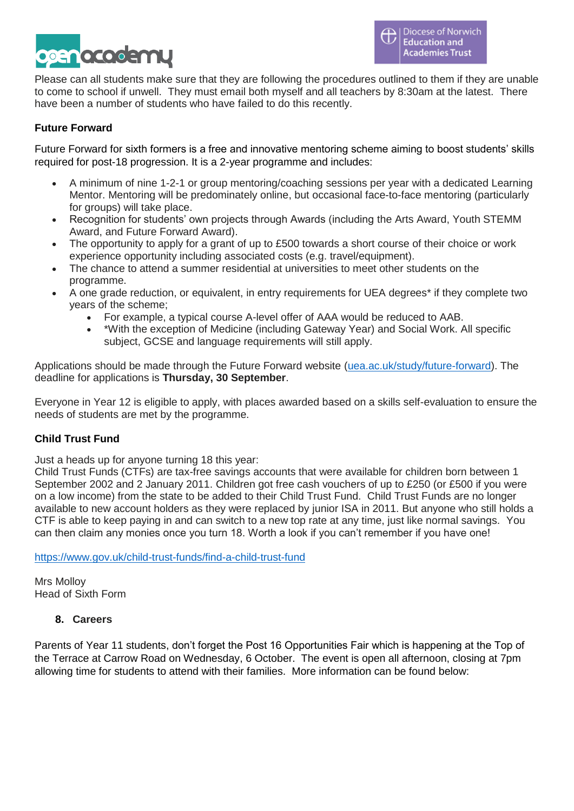

Please can all students make sure that they are following the procedures outlined to them if they are unable to come to school if unwell. They must email both myself and all teachers by 8:30am at the latest. There have been a number of students who have failed to do this recently.

# **Future Forward**

Future Forward for sixth formers is a free and innovative mentoring scheme aiming to boost students' skills required for post-18 progression. It is a 2-year programme and includes:

- A minimum of nine 1-2-1 or group mentoring/coaching sessions per year with a dedicated Learning Mentor. Mentoring will be predominately online, but occasional face-to-face mentoring (particularly for groups) will take place.
- Recognition for students' own projects through Awards (including the Arts Award, Youth STEMM Award, and Future Forward Award).
- The opportunity to apply for a grant of up to £500 towards a short course of their choice or work experience opportunity including associated costs (e.g. travel/equipment).
- The chance to attend a summer residential at universities to meet other students on the programme.
- A one grade reduction, or equivalent, in entry requirements for UEA degrees\* if they complete two years of the scheme;
	- For example, a typical course A-level offer of AAA would be reduced to AAB.
	- \*With the exception of Medicine (including Gateway Year) and Social Work. All specific subject, GCSE and language requirements will still apply.

Applications should be made through the Future Forward website [\(uea.ac.uk/study/future-forward\)](http://www.uea.ac.uk/study/future-forward). The deadline for applications is **Thursday, 30 September**.

Everyone in Year 12 is eligible to apply, with places awarded based on a skills self-evaluation to ensure the needs of students are met by the programme.

## **Child Trust Fund**

Just a heads up for anyone turning 18 this year:

Child Trust Funds (CTFs) are tax-free savings accounts that were available for children born between 1 September 2002 and 2 January 2011. Children got free cash vouchers of up to £250 (or £500 if you were on a low income) from the state to be added to their Child Trust Fund. Child Trust Funds are no longer available to new account holders as they were replaced by junior ISA in 2011. But anyone who still holds a CTF is able to keep paying in and can switch to a new top rate at any time, just like normal savings. You can then claim any monies once you turn 18. Worth a look if you can't remember if you have one!

<https://www.gov.uk/child-trust-funds/find-a-child-trust-fund>

Mrs Molloy Head of Sixth Form

#### **8. Careers**

Parents of Year 11 students, don't forget the Post 16 Opportunities Fair which is happening at the Top of the Terrace at Carrow Road on Wednesday, 6 October. The event is open all afternoon, closing at 7pm allowing time for students to attend with their families. More information can be found below: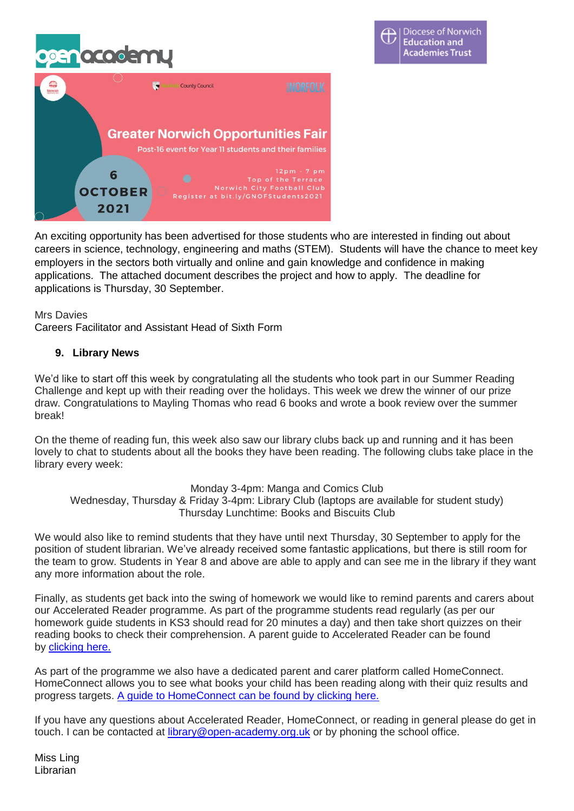# $\bullet\bullet\circ$



An exciting opportunity has been advertised for those students who are interested in finding out about careers in science, technology, engineering and maths (STEM). Students will have the chance to meet key employers in the sectors both virtually and online and gain knowledge and confidence in making applications. The attached document describes the project and how to apply. The deadline for applications is Thursday, 30 September.

#### Mrs Davies

Careers Facilitator and Assistant Head of Sixth Form

#### **9. Library News**

We'd like to start off this week by congratulating all the students who took part in our Summer Reading Challenge and kept up with their reading over the holidays. This week we drew the winner of our prize draw. Congratulations to Mayling Thomas who read 6 books and wrote a book review over the summer break!

On the theme of reading fun, this week also saw our library clubs back up and running and it has been lovely to chat to students about all the books they have been reading. The following clubs take place in the library every week:

Monday 3-4pm: Manga and Comics Club

Wednesday, Thursday & Friday 3-4pm: Library Club (laptops are available for student study) Thursday Lunchtime: Books and Biscuits Club

We would also like to remind students that they have until next Thursday, 30 September to apply for the position of student librarian. We've already received some fantastic applications, but there is still room for the team to grow. Students in Year 8 and above are able to apply and can see me in the library if they want any more information about the role.

Finally, as students get back into the swing of homework we would like to remind parents and carers about our Accelerated Reader programme. As part of the programme students read regularly (as per our homework guide students in KS3 should read for 20 minutes a day) and then take short quizzes on their reading books to check their comprehension. A parent guide to Accelerated Reader can be found by **[clicking](http://www.renlearn.co.uk/wp-content/uploads/2020/03/Parents-Guide-to-Renaissance.pdf)** here.

As part of the programme we also have a dedicated parent and carer platform called HomeConnect. HomeConnect allows you to see what books your child has been reading along with their quiz results and progress targets. A guide to [HomeConnect](https://openacademyorguk-my.sharepoint.com/:b:/g/personal/donna_ling_open-academy_org_uk/ETa_JhdXGtZKjDE16dD4WPYB43aMwUbISI8N4esWxLVUbg?e=MLyaDg) can be found by clicking here.

If you have any questions about Accelerated Reader, HomeConnect, or reading in general please do get in touch. I can be contacted at [library@open-academy.org.uk](mailto:library@open-academy.org.uk) or by phoning the school office.

Miss Ling Librarian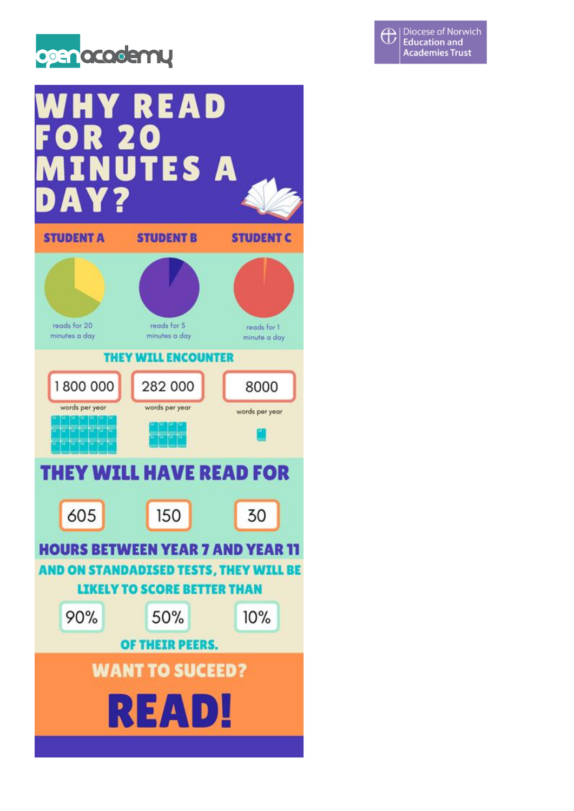



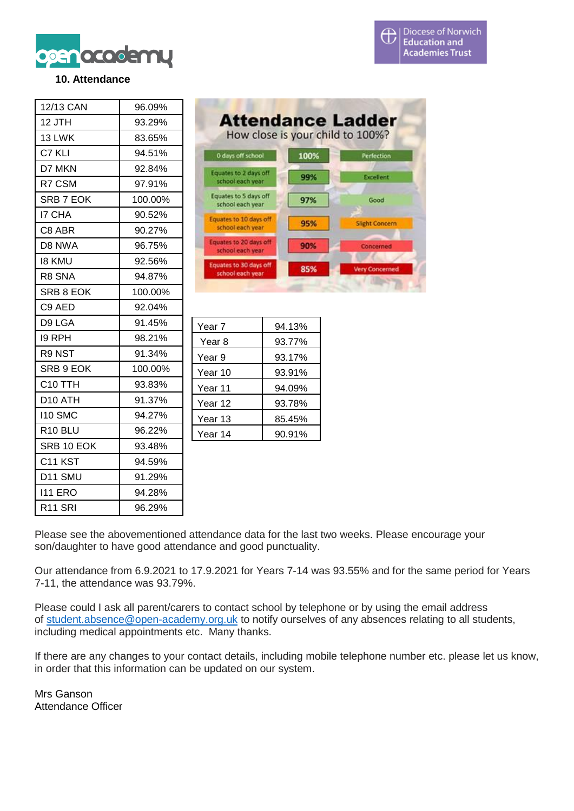

# **10. Attendance**

| 12/13 CAN           | 96.09%  |
|---------------------|---------|
| 12 JTH              | 93.29%  |
| 13 LWK              | 83.65%  |
| C7 KLI              | 94.51%  |
| D7 MKN              | 92.84%  |
| R7 CSM              | 97.91%  |
| SRB 7 EOK           | 100.00% |
| 17 CHA              | 90.52%  |
| C8 ABR              | 90.27%  |
| D8 NWA              | 96.75%  |
| 18 KMU              | 92.56%  |
| R8 SNA              | 94.87%  |
| SRB 8 EOK           | 100.00% |
| C9 AED              | 92.04%  |
| D9 LGA              | 91.45%  |
| 19 RPH              | 98.21%  |
| R9 NST              | 91.34%  |
| SRB 9 EOK           | 100.00% |
| C <sub>10</sub> TTH | 93.83%  |
| D10 ATH             | 91.37%  |
| 110 SMC             | 94.27%  |
| R <sub>10</sub> BLU | 96.22%  |
| SRB 10 EOK          | 93.48%  |
| C <sub>11</sub> KST | 94.59%  |
| D11 SMU             | 91.29%  |
| 111 ERO             | 94.28%  |
| R <sub>11</sub> SRI | 96.29%  |

| <b>Attendance Ladder</b><br>How close is your child to 100%? |      |                       |
|--------------------------------------------------------------|------|-----------------------|
| 0 days off school                                            | 100% | Perfection            |
| Equates to 2 days off<br>school each year                    | 99%  | Excellent             |
| Equates to 5 days off<br>school each year.                   | 97%  | Good                  |
| Equates to 10 days off<br>school each year                   | 95%  | <b>Slight Concern</b> |
| Equates to 20 days off<br>school each year                   | 90%  | Concerned             |
| Equates to 30 days off<br>school each year                   | 85%  | <b>Very Concerned</b> |

| 94.13% |
|--------|
| 93.77% |
| 93.17% |
| 93.91% |
| 94.09% |
| 93.78% |
| 85.45% |
| 90.91% |
|        |

Please see the abovementioned attendance data for the last two weeks. Please encourage your son/daughter to have good attendance and good punctuality.

Our attendance from 6.9.2021 to 17.9.2021 for Years 7-14 was 93.55% and for the same period for Years 7-11, the attendance was 93.79%.

Please could I ask all parent/carers to contact school by telephone or by using the email address of [student.absence@open-academy.org.uk](mailto:student.absence@open-academy.org.uk) to notify ourselves of any absences relating to all students, including medical appointments etc. Many thanks.

If there are any changes to your contact details, including mobile telephone number etc. please let us know, in order that this information can be updated on our system.

Mrs Ganson Attendance Officer